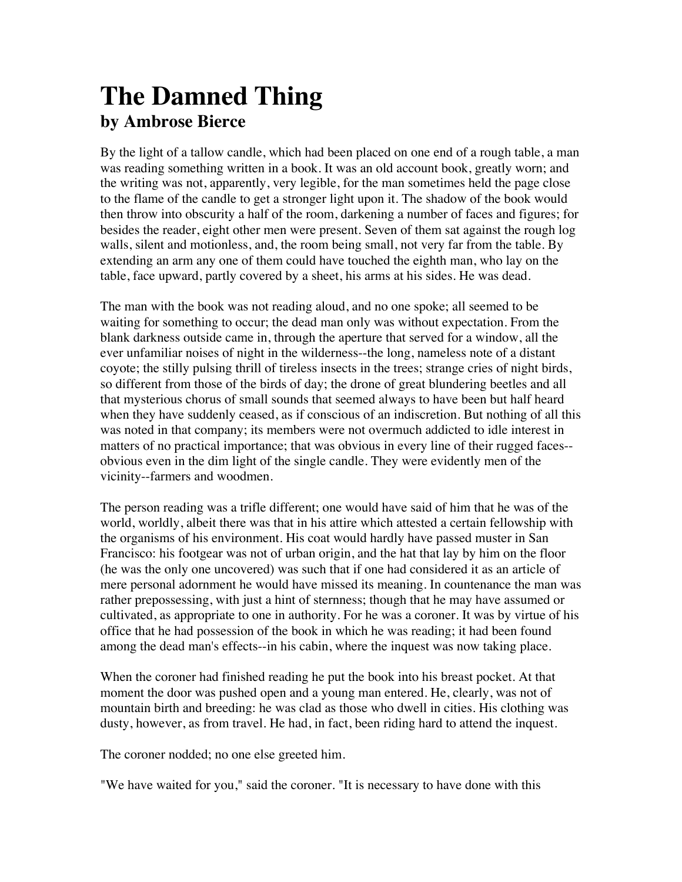# **The Damned Thing by Ambrose Bierce**

By the light of a tallow candle, which had been placed on one end of a rough table, a man was reading something written in a book. It was an old account book, greatly worn; and the writing was not, apparently, very legible, for the man sometimes held the page close to the flame of the candle to get a stronger light upon it. The shadow of the book would then throw into obscurity a half of the room, darkening a number of faces and figures; for besides the reader, eight other men were present. Seven of them sat against the rough log walls, silent and motionless, and, the room being small, not very far from the table. By extending an arm any one of them could have touched the eighth man, who lay on the table, face upward, partly covered by a sheet, his arms at his sides. He was dead.

The man with the book was not reading aloud, and no one spoke; all seemed to be waiting for something to occur; the dead man only was without expectation. From the blank darkness outside came in, through the aperture that served for a window, all the ever unfamiliar noises of night in the wilderness--the long, nameless note of a distant coyote; the stilly pulsing thrill of tireless insects in the trees; strange cries of night birds, so different from those of the birds of day; the drone of great blundering beetles and all that mysterious chorus of small sounds that seemed always to have been but half heard when they have suddenly ceased, as if conscious of an indiscretion. But nothing of all this was noted in that company; its members were not overmuch addicted to idle interest in matters of no practical importance; that was obvious in every line of their rugged faces- obvious even in the dim light of the single candle. They were evidently men of the vicinity--farmers and woodmen.

The person reading was a trifle different; one would have said of him that he was of the world, worldly, albeit there was that in his attire which attested a certain fellowship with the organisms of his environment. His coat would hardly have passed muster in San Francisco: his footgear was not of urban origin, and the hat that lay by him on the floor (he was the only one uncovered) was such that if one had considered it as an article of mere personal adornment he would have missed its meaning. In countenance the man was rather prepossessing, with just a hint of sternness; though that he may have assumed or cultivated, as appropriate to one in authority. For he was a coroner. It was by virtue of his office that he had possession of the book in which he was reading; it had been found among the dead man's effects--in his cabin, where the inquest was now taking place.

When the coroner had finished reading he put the book into his breast pocket. At that moment the door was pushed open and a young man entered. He, clearly, was not of mountain birth and breeding: he was clad as those who dwell in cities. His clothing was dusty, however, as from travel. He had, in fact, been riding hard to attend the inquest.

The coroner nodded; no one else greeted him.

"We have waited for you," said the coroner. "It is necessary to have done with this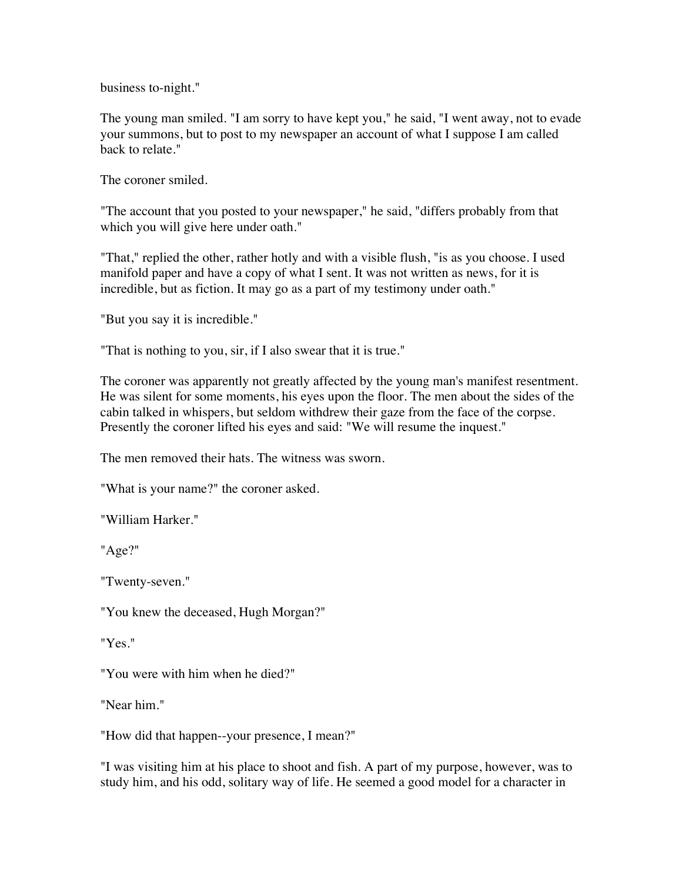business to-night."

The young man smiled. "I am sorry to have kept you," he said, "I went away, not to evade your summons, but to post to my newspaper an account of what I suppose I am called back to relate."

The coroner smiled.

"The account that you posted to your newspaper," he said, "differs probably from that which you will give here under oath."

"That," replied the other, rather hotly and with a visible flush, "is as you choose. I used manifold paper and have a copy of what I sent. It was not written as news, for it is incredible, but as fiction. It may go as a part of my testimony under oath."

"But you say it is incredible."

"That is nothing to you, sir, if I also swear that it is true."

The coroner was apparently not greatly affected by the young man's manifest resentment. He was silent for some moments, his eyes upon the floor. The men about the sides of the cabin talked in whispers, but seldom withdrew their gaze from the face of the corpse. Presently the coroner lifted his eyes and said: "We will resume the inquest."

The men removed their hats. The witness was sworn.

"What is your name?" the coroner asked.

"William Harker."

"Age?"

"Twenty-seven."

"You knew the deceased, Hugh Morgan?"

"Yes."

"You were with him when he died?"

"Near him."

"How did that happen--your presence, I mean?"

"I was visiting him at his place to shoot and fish. A part of my purpose, however, was to study him, and his odd, solitary way of life. He seemed a good model for a character in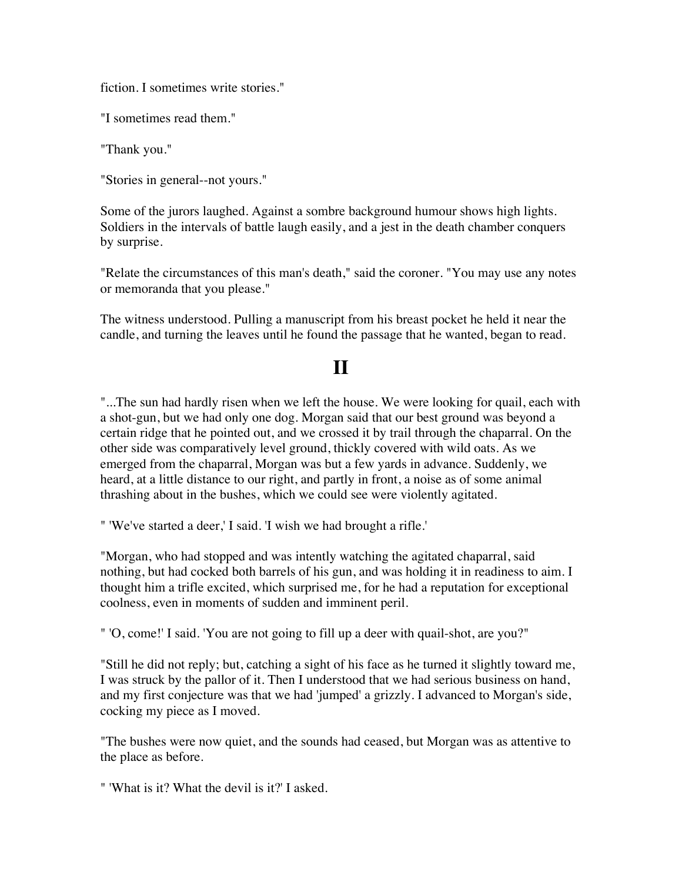fiction. I sometimes write stories."

"I sometimes read them."

"Thank you."

"Stories in general--not yours."

Some of the jurors laughed. Against a sombre background humour shows high lights. Soldiers in the intervals of battle laugh easily, and a jest in the death chamber conquers by surprise.

"Relate the circumstances of this man's death," said the coroner. "You may use any notes or memoranda that you please."

The witness understood. Pulling a manuscript from his breast pocket he held it near the candle, and turning the leaves until he found the passage that he wanted, began to read.

## **II**

"...The sun had hardly risen when we left the house. We were looking for quail, each with a shot-gun, but we had only one dog. Morgan said that our best ground was beyond a certain ridge that he pointed out, and we crossed it by trail through the chaparral. On the other side was comparatively level ground, thickly covered with wild oats. As we emerged from the chaparral, Morgan was but a few yards in advance. Suddenly, we heard, at a little distance to our right, and partly in front, a noise as of some animal thrashing about in the bushes, which we could see were violently agitated.

" 'We've started a deer,' I said. 'I wish we had brought a rifle.'

"Morgan, who had stopped and was intently watching the agitated chaparral, said nothing, but had cocked both barrels of his gun, and was holding it in readiness to aim. I thought him a trifle excited, which surprised me, for he had a reputation for exceptional coolness, even in moments of sudden and imminent peril.

" 'O, come!' I said. 'You are not going to fill up a deer with quail-shot, are you?"

"Still he did not reply; but, catching a sight of his face as he turned it slightly toward me, I was struck by the pallor of it. Then I understood that we had serious business on hand, and my first conjecture was that we had 'jumped' a grizzly. I advanced to Morgan's side, cocking my piece as I moved.

"The bushes were now quiet, and the sounds had ceased, but Morgan was as attentive to the place as before.

" 'What is it? What the devil is it?' I asked.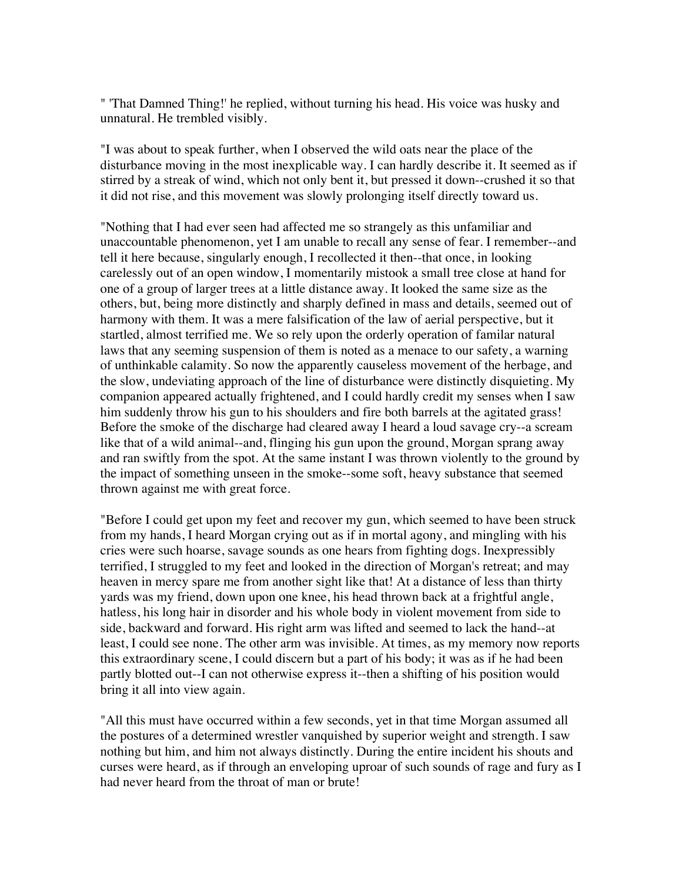" 'That Damned Thing!' he replied, without turning his head. His voice was husky and unnatural. He trembled visibly.

"I was about to speak further, when I observed the wild oats near the place of the disturbance moving in the most inexplicable way. I can hardly describe it. It seemed as if stirred by a streak of wind, which not only bent it, but pressed it down--crushed it so that it did not rise, and this movement was slowly prolonging itself directly toward us.

"Nothing that I had ever seen had affected me so strangely as this unfamiliar and unaccountable phenomenon, yet I am unable to recall any sense of fear. I remember--and tell it here because, singularly enough, I recollected it then--that once, in looking carelessly out of an open window, I momentarily mistook a small tree close at hand for one of a group of larger trees at a little distance away. It looked the same size as the others, but, being more distinctly and sharply defined in mass and details, seemed out of harmony with them. It was a mere falsification of the law of aerial perspective, but it startled, almost terrified me. We so rely upon the orderly operation of familar natural laws that any seeming suspension of them is noted as a menace to our safety, a warning of unthinkable calamity. So now the apparently causeless movement of the herbage, and the slow, undeviating approach of the line of disturbance were distinctly disquieting. My companion appeared actually frightened, and I could hardly credit my senses when I saw him suddenly throw his gun to his shoulders and fire both barrels at the agitated grass! Before the smoke of the discharge had cleared away I heard a loud savage cry--a scream like that of a wild animal--and, flinging his gun upon the ground, Morgan sprang away and ran swiftly from the spot. At the same instant I was thrown violently to the ground by the impact of something unseen in the smoke--some soft, heavy substance that seemed thrown against me with great force.

"Before I could get upon my feet and recover my gun, which seemed to have been struck from my hands, I heard Morgan crying out as if in mortal agony, and mingling with his cries were such hoarse, savage sounds as one hears from fighting dogs. Inexpressibly terrified, I struggled to my feet and looked in the direction of Morgan's retreat; and may heaven in mercy spare me from another sight like that! At a distance of less than thirty yards was my friend, down upon one knee, his head thrown back at a frightful angle, hatless, his long hair in disorder and his whole body in violent movement from side to side, backward and forward. His right arm was lifted and seemed to lack the hand--at least, I could see none. The other arm was invisible. At times, as my memory now reports this extraordinary scene, I could discern but a part of his body; it was as if he had been partly blotted out--I can not otherwise express it--then a shifting of his position would bring it all into view again.

"All this must have occurred within a few seconds, yet in that time Morgan assumed all the postures of a determined wrestler vanquished by superior weight and strength. I saw nothing but him, and him not always distinctly. During the entire incident his shouts and curses were heard, as if through an enveloping uproar of such sounds of rage and fury as I had never heard from the throat of man or brute!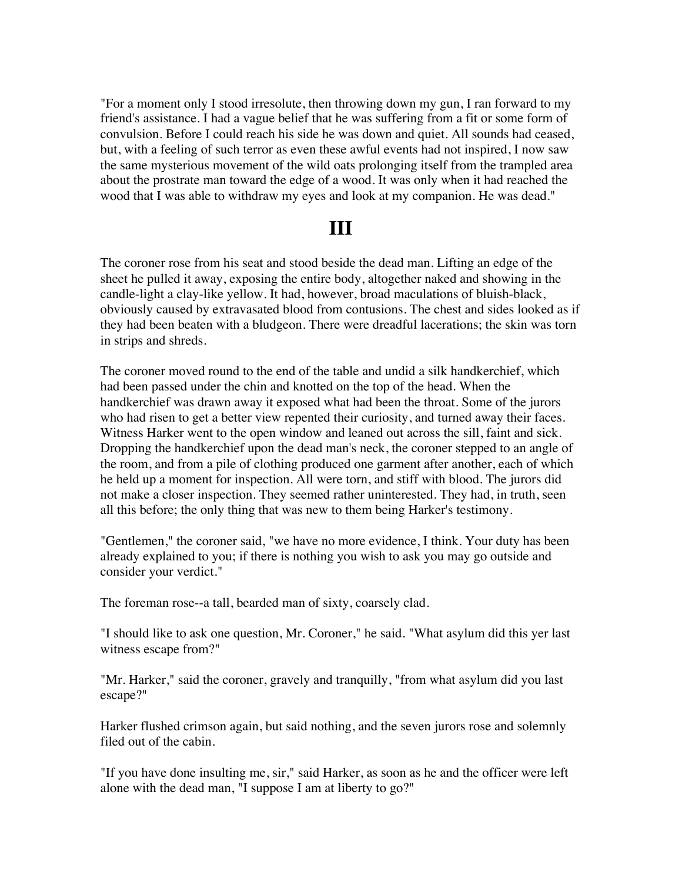"For a moment only I stood irresolute, then throwing down my gun, I ran forward to my friend's assistance. I had a vague belief that he was suffering from a fit or some form of convulsion. Before I could reach his side he was down and quiet. All sounds had ceased, but, with a feeling of such terror as even these awful events had not inspired, I now saw the same mysterious movement of the wild oats prolonging itself from the trampled area about the prostrate man toward the edge of a wood. It was only when it had reached the wood that I was able to withdraw my eyes and look at my companion. He was dead."

#### **III**

The coroner rose from his seat and stood beside the dead man. Lifting an edge of the sheet he pulled it away, exposing the entire body, altogether naked and showing in the candle-light a clay-like yellow. It had, however, broad maculations of bluish-black, obviously caused by extravasated blood from contusions. The chest and sides looked as if they had been beaten with a bludgeon. There were dreadful lacerations; the skin was torn in strips and shreds.

The coroner moved round to the end of the table and undid a silk handkerchief, which had been passed under the chin and knotted on the top of the head. When the handkerchief was drawn away it exposed what had been the throat. Some of the jurors who had risen to get a better view repented their curiosity, and turned away their faces. Witness Harker went to the open window and leaned out across the sill, faint and sick. Dropping the handkerchief upon the dead man's neck, the coroner stepped to an angle of the room, and from a pile of clothing produced one garment after another, each of which he held up a moment for inspection. All were torn, and stiff with blood. The jurors did not make a closer inspection. They seemed rather uninterested. They had, in truth, seen all this before; the only thing that was new to them being Harker's testimony.

"Gentlemen," the coroner said, "we have no more evidence, I think. Your duty has been already explained to you; if there is nothing you wish to ask you may go outside and consider your verdict."

The foreman rose--a tall, bearded man of sixty, coarsely clad.

"I should like to ask one question, Mr. Coroner," he said. "What asylum did this yer last witness escape from?"

"Mr. Harker," said the coroner, gravely and tranquilly, "from what asylum did you last escape?"

Harker flushed crimson again, but said nothing, and the seven jurors rose and solemnly filed out of the cabin.

"If you have done insulting me, sir," said Harker, as soon as he and the officer were left alone with the dead man, "I suppose I am at liberty to go?"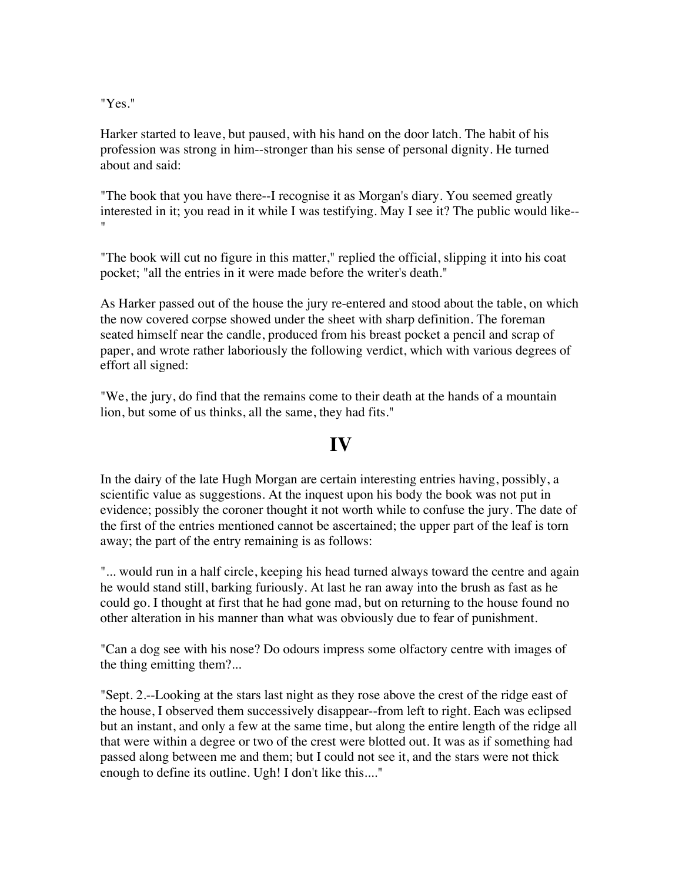"Yes."

Harker started to leave, but paused, with his hand on the door latch. The habit of his profession was strong in him--stronger than his sense of personal dignity. He turned about and said:

"The book that you have there--I recognise it as Morgan's diary. You seemed greatly interested in it; you read in it while I was testifying. May I see it? The public would like-- "

"The book will cut no figure in this matter," replied the official, slipping it into his coat pocket; "all the entries in it were made before the writer's death."

As Harker passed out of the house the jury re-entered and stood about the table, on which the now covered corpse showed under the sheet with sharp definition. The foreman seated himself near the candle, produced from his breast pocket a pencil and scrap of paper, and wrote rather laboriously the following verdict, which with various degrees of effort all signed:

"We, the jury, do find that the remains come to their death at the hands of a mountain lion, but some of us thinks, all the same, they had fits."

### **IV**

In the dairy of the late Hugh Morgan are certain interesting entries having, possibly, a scientific value as suggestions. At the inquest upon his body the book was not put in evidence; possibly the coroner thought it not worth while to confuse the jury. The date of the first of the entries mentioned cannot be ascertained; the upper part of the leaf is torn away; the part of the entry remaining is as follows:

"... would run in a half circle, keeping his head turned always toward the centre and again he would stand still, barking furiously. At last he ran away into the brush as fast as he could go. I thought at first that he had gone mad, but on returning to the house found no other alteration in his manner than what was obviously due to fear of punishment.

"Can a dog see with his nose? Do odours impress some olfactory centre with images of the thing emitting them?...

"Sept. 2.--Looking at the stars last night as they rose above the crest of the ridge east of the house, I observed them successively disappear--from left to right. Each was eclipsed but an instant, and only a few at the same time, but along the entire length of the ridge all that were within a degree or two of the crest were blotted out. It was as if something had passed along between me and them; but I could not see it, and the stars were not thick enough to define its outline. Ugh! I don't like this...."